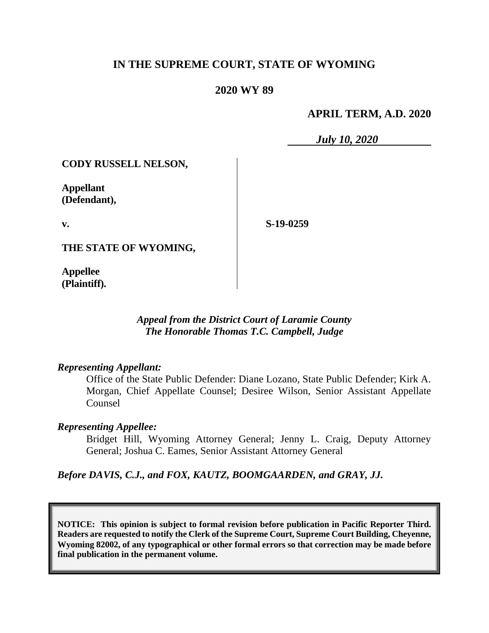# **IN THE SUPREME COURT, STATE OF WYOMING**

# **2020 WY 89**

### **APRIL TERM, A.D. 2020**

*July 10, 2020*

**CODY RUSSELL NELSON,**

**Appellant (Defendant),**

**v.**

**S-19-0259**

**THE STATE OF WYOMING,**

**Appellee (Plaintiff).**

> *Appeal from the District Court of Laramie County The Honorable Thomas T.C. Campbell, Judge*

### *Representing Appellant:*

Office of the State Public Defender: Diane Lozano, State Public Defender; Kirk A. Morgan, Chief Appellate Counsel; Desiree Wilson, Senior Assistant Appellate Counsel

### *Representing Appellee:*

Bridget Hill, Wyoming Attorney General; Jenny L. Craig, Deputy Attorney General; Joshua C. Eames, Senior Assistant Attorney General

*Before DAVIS, C.J., and FOX, KAUTZ, BOOMGAARDEN, and GRAY, JJ.*

**NOTICE: This opinion is subject to formal revision before publication in Pacific Reporter Third. Readers are requested to notify the Clerk of the Supreme Court, Supreme Court Building, Cheyenne, Wyoming 82002, of any typographical or other formal errors so that correction may be made before final publication in the permanent volume.**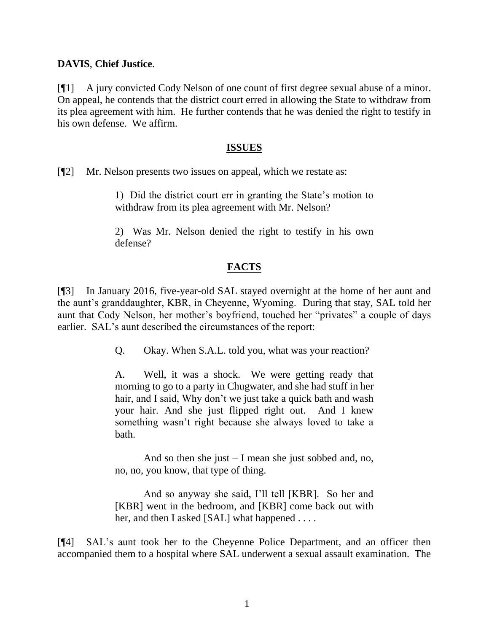### **DAVIS**, **Chief Justice**.

[¶1] A jury convicted Cody Nelson of one count of first degree sexual abuse of a minor. On appeal, he contends that the district court erred in allowing the State to withdraw from its plea agreement with him. He further contends that he was denied the right to testify in his own defense. We affirm.

### **ISSUES**

[¶2] Mr. Nelson presents two issues on appeal, which we restate as:

1) Did the district court err in granting the State's motion to withdraw from its plea agreement with Mr. Nelson?

2) Was Mr. Nelson denied the right to testify in his own defense?

# **FACTS**

[¶3] In January 2016, five-year-old SAL stayed overnight at the home of her aunt and the aunt's granddaughter, KBR, in Cheyenne, Wyoming. During that stay, SAL told her aunt that Cody Nelson, her mother's boyfriend, touched her "privates" a couple of days earlier. SAL's aunt described the circumstances of the report:

Q. Okay. When S.A.L. told you, what was your reaction?

A. Well, it was a shock. We were getting ready that morning to go to a party in Chugwater, and she had stuff in her hair, and I said, Why don't we just take a quick bath and wash your hair. And she just flipped right out. And I knew something wasn't right because she always loved to take a bath.

And so then she just – I mean she just sobbed and, no, no, no, you know, that type of thing.

And so anyway she said, I'll tell [KBR]. So her and [KBR] went in the bedroom, and [KBR] come back out with her, and then I asked [SAL] what happened . . . .

[¶4] SAL's aunt took her to the Cheyenne Police Department, and an officer then accompanied them to a hospital where SAL underwent a sexual assault examination. The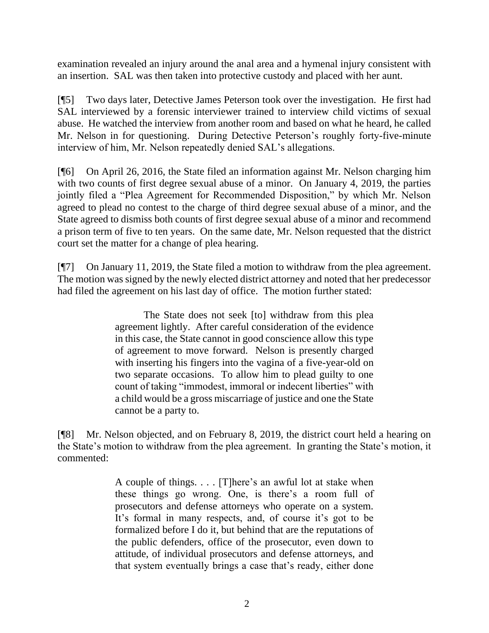examination revealed an injury around the anal area and a hymenal injury consistent with an insertion. SAL was then taken into protective custody and placed with her aunt.

[¶5] Two days later, Detective James Peterson took over the investigation. He first had SAL interviewed by a forensic interviewer trained to interview child victims of sexual abuse. He watched the interview from another room and based on what he heard, he called Mr. Nelson in for questioning. During Detective Peterson's roughly forty-five-minute interview of him, Mr. Nelson repeatedly denied SAL's allegations.

[¶6] On April 26, 2016, the State filed an information against Mr. Nelson charging him with two counts of first degree sexual abuse of a minor. On January 4, 2019, the parties jointly filed a "Plea Agreement for Recommended Disposition," by which Mr. Nelson agreed to plead no contest to the charge of third degree sexual abuse of a minor, and the State agreed to dismiss both counts of first degree sexual abuse of a minor and recommend a prison term of five to ten years. On the same date, Mr. Nelson requested that the district court set the matter for a change of plea hearing.

[¶7] On January 11, 2019, the State filed a motion to withdraw from the plea agreement. The motion was signed by the newly elected district attorney and noted that her predecessor had filed the agreement on his last day of office. The motion further stated:

> The State does not seek [to] withdraw from this plea agreement lightly. After careful consideration of the evidence in this case, the State cannot in good conscience allow this type of agreement to move forward. Nelson is presently charged with inserting his fingers into the vagina of a five-year-old on two separate occasions. To allow him to plead guilty to one count of taking "immodest, immoral or indecent liberties" with a child would be a gross miscarriage of justice and one the State cannot be a party to.

[¶8] Mr. Nelson objected, and on February 8, 2019, the district court held a hearing on the State's motion to withdraw from the plea agreement. In granting the State's motion, it commented:

> A couple of things. . . . [T]here's an awful lot at stake when these things go wrong. One, is there's a room full of prosecutors and defense attorneys who operate on a system. It's formal in many respects, and, of course it's got to be formalized before I do it, but behind that are the reputations of the public defenders, office of the prosecutor, even down to attitude, of individual prosecutors and defense attorneys, and that system eventually brings a case that's ready, either done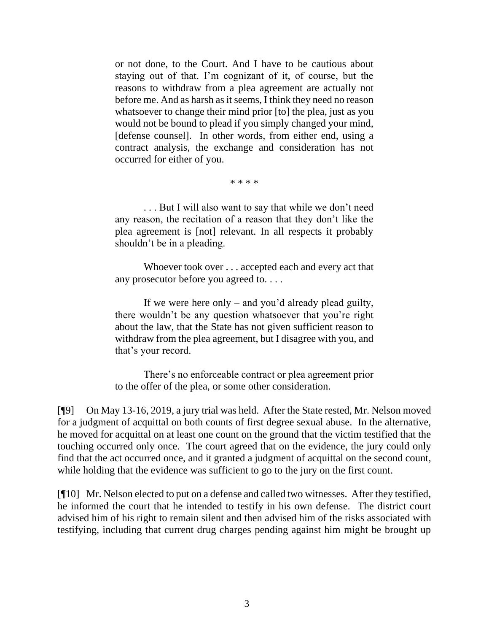or not done, to the Court. And I have to be cautious about staying out of that. I'm cognizant of it, of course, but the reasons to withdraw from a plea agreement are actually not before me. And as harsh as it seems, I think they need no reason whatsoever to change their mind prior [to] the plea, just as you would not be bound to plead if you simply changed your mind, [defense counsel]. In other words, from either end, using a contract analysis, the exchange and consideration has not occurred for either of you.

\* \* \* \*

. . . But I will also want to say that while we don't need any reason, the recitation of a reason that they don't like the plea agreement is [not] relevant. In all respects it probably shouldn't be in a pleading.

Whoever took over . . . accepted each and every act that any prosecutor before you agreed to. . . .

If we were here only – and you'd already plead guilty, there wouldn't be any question whatsoever that you're right about the law, that the State has not given sufficient reason to withdraw from the plea agreement, but I disagree with you, and that's your record.

There's no enforceable contract or plea agreement prior to the offer of the plea, or some other consideration.

[¶9] On May 13-16, 2019, a jury trial was held. After the State rested, Mr. Nelson moved for a judgment of acquittal on both counts of first degree sexual abuse. In the alternative, he moved for acquittal on at least one count on the ground that the victim testified that the touching occurred only once. The court agreed that on the evidence, the jury could only find that the act occurred once, and it granted a judgment of acquittal on the second count, while holding that the evidence was sufficient to go to the jury on the first count.

[¶10] Mr. Nelson elected to put on a defense and called two witnesses. After they testified, he informed the court that he intended to testify in his own defense. The district court advised him of his right to remain silent and then advised him of the risks associated with testifying, including that current drug charges pending against him might be brought up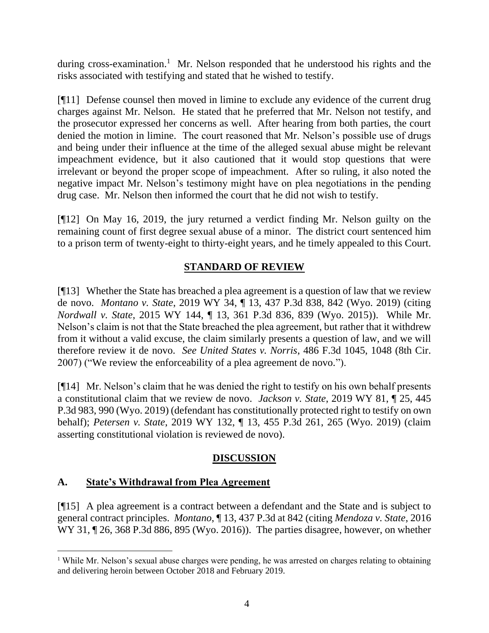during cross-examination.<sup>1</sup> Mr. Nelson responded that he understood his rights and the risks associated with testifying and stated that he wished to testify.

[¶11] Defense counsel then moved in limine to exclude any evidence of the current drug charges against Mr. Nelson. He stated that he preferred that Mr. Nelson not testify, and the prosecutor expressed her concerns as well. After hearing from both parties, the court denied the motion in limine. The court reasoned that Mr. Nelson's possible use of drugs and being under their influence at the time of the alleged sexual abuse might be relevant impeachment evidence, but it also cautioned that it would stop questions that were irrelevant or beyond the proper scope of impeachment. After so ruling, it also noted the negative impact Mr. Nelson's testimony might have on plea negotiations in the pending drug case. Mr. Nelson then informed the court that he did not wish to testify.

[¶12] On May 16, 2019, the jury returned a verdict finding Mr. Nelson guilty on the remaining count of first degree sexual abuse of a minor. The district court sentenced him to a prison term of twenty-eight to thirty-eight years, and he timely appealed to this Court.

# **STANDARD OF REVIEW**

[¶13] Whether the State has breached a plea agreement is a question of law that we review de novo. *Montano v. State*, 2019 WY 34, ¶ 13, 437 P.3d 838, 842 (Wyo. 2019) (citing *Nordwall v. State*[, 2015 WY 144, ¶ 13, 361 P.3d 836, 839 \(Wyo. 2015\)\)](http://www.westlaw.com/Link/Document/FullText?findType=Y&serNum=2037589942&pubNum=0004645&originatingDoc=I7036e8704f5211e9bc469b767245e66a&refType=RP&fi=co_pp_sp_4645_839&originationContext=document&vr=3.0&rs=cblt1.0&transitionType=DocumentItem&contextData=(sc.UserEnteredCitation)#co_pp_sp_4645_839). While Mr. Nelson's claim is not that the State breached the plea agreement, but rather that it withdrew from it without a valid excuse, the claim similarly presents a question of law, and we will therefore review it de novo. *See United States v. Norris*, 486 F.3d 1045, 1048 (8th Cir. 2007) ("We review the enforceability of a plea agreement de novo.").

[¶14] Mr. Nelson's claim that he was denied the right to testify on his own behalf presents a constitutional claim that we review de novo. *Jackson v. State*, 2019 WY 81, ¶ 25, 445 P.3d 983, 990 (Wyo. 2019) (defendant has constitutionally protected right to testify on own behalf); *Petersen v. State*, 2019 WY 132, ¶ 13, 455 P.3d 261, 265 (Wyo. 2019) (claim asserting constitutional violation is reviewed de novo).

# **DISCUSSION**

# **A. State's Withdrawal from Plea Agreement**

[¶15] A plea agreement is a contract between a defendant and the State and is subject to general contract principles. *Montano*, ¶ 13, 437 P.3d at 842 (citing *[Mendoza v. State](http://www.westlaw.com/Link/Document/FullText?findType=Y&serNum=2038435342&pubNum=0004645&originatingDoc=I7036e8704f5211e9bc469b767245e66a&refType=RP&fi=co_pp_sp_4645_895&originationContext=document&vr=3.0&rs=cblt1.0&transitionType=DocumentItem&contextData=(sc.UserEnteredCitation)#co_pp_sp_4645_895)*, 2016 WY 31,  $\P$  26, 368 P.3d 886, 895 (Wyo. 2016)). The parties disagree, however, on whether

<sup>&</sup>lt;sup>1</sup> While Mr. Nelson's sexual abuse charges were pending, he was arrested on charges relating to obtaining and delivering heroin between October 2018 and February 2019.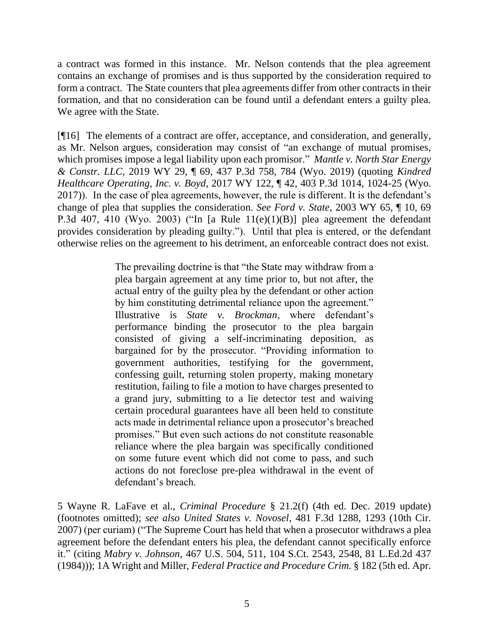a contract was formed in this instance. Mr. Nelson contends that the plea agreement contains an exchange of promises and is thus supported by the consideration required to form a contract. The State counters that plea agreements differ from other contracts in their formation, and that no consideration can be found until a defendant enters a guilty plea. We agree with the State.

[¶16] The elements of a contract are offer, acceptance, and consideration, and generally, as Mr. Nelson argues, consideration may consist of "an exchange of mutual promises, which promises impose a legal liability upon each promisor." *Mantle v. North Star Energy & Constr. LLC*, 2019 WY 29, ¶ 69, 437 P.3d 758, 784 (Wyo. 2019) (quoting *[Kindred](http://www.westlaw.com/Link/Document/FullText?findType=Y&serNum=2042872680&pubNum=0004645&originatingDoc=Iae9cf0c0452811e9bc469b767245e66a&refType=RP&fi=co_pp_sp_4645_1024&originationContext=document&vr=3.0&rs=cblt1.0&transitionType=DocumentItem&contextData=(sc.Keycite)#co_pp_sp_4645_1024)  Healthcare Operating, Inc. v. Boyd*[, 2017 WY 122, ¶ 42, 403 P.3d 1014, 1024-25 \(Wyo.](http://www.westlaw.com/Link/Document/FullText?findType=Y&serNum=2042872680&pubNum=0004645&originatingDoc=Iae9cf0c0452811e9bc469b767245e66a&refType=RP&fi=co_pp_sp_4645_1024&originationContext=document&vr=3.0&rs=cblt1.0&transitionType=DocumentItem&contextData=(sc.Keycite)#co_pp_sp_4645_1024)  [2017\)\)](http://www.westlaw.com/Link/Document/FullText?findType=Y&serNum=2042872680&pubNum=0004645&originatingDoc=Iae9cf0c0452811e9bc469b767245e66a&refType=RP&fi=co_pp_sp_4645_1024&originationContext=document&vr=3.0&rs=cblt1.0&transitionType=DocumentItem&contextData=(sc.Keycite)#co_pp_sp_4645_1024). In the case of plea agreements, however, the rule is different. It is the defendant's change of plea that supplies the consideration. *See Ford v. State*, 2003 WY 65, ¶ 10, 69 P.3d 407, 410 (Wyo. 2003) ("In [a Rule  $11(e)(1)(B)$ ] plea agreement the defendant provides consideration by pleading guilty."). Until that plea is entered, or the defendant otherwise relies on the agreement to his detriment, an enforceable contract does not exist.

> The prevailing doctrine is that "the State may withdraw from a plea bargain agreement at any time prior to, but not after, the actual entry of the guilty plea by the defendant or other action by him constituting detrimental reliance upon the agreement." Illustrative is *State v. Brockman*, where defendant's performance binding the prosecutor to the plea bargain consisted of giving a self-incriminating deposition, as bargained for by the prosecutor. "Providing information to government authorities, testifying for the government, confessing guilt, returning stolen property, making monetary restitution, failing to file a motion to have charges presented to a grand jury, submitting to a lie detector test and waiving certain procedural guarantees have all been held to constitute acts made in detrimental reliance upon a prosecutor's breached promises." But even such actions do not constitute reasonable reliance where the plea bargain was specifically conditioned on some future event which did not come to pass, and such actions do not foreclose pre-plea withdrawal in the event of defendant's breach.

5 Wayne R. LaFave et al., *Criminal Procedure* § 21.2(f) (4th ed. Dec. 2019 update) (footnotes omitted); *see also United States v. Novosel*, 481 F.3d 1288, 1293 (10th Cir. 2007) (per curiam) ("The Supreme Court has held that when a prosecutor withdraws a plea agreement before the defendant enters his plea, the defendant cannot specifically enforce it." (citing *Mabry v. Johnson*, 467 U.S. 504, 511, 104 S.Ct. 2543, 2548, 81 L.Ed.2d 437 (1984))); 1A Wright and Miller, *Federal Practice and Procedure Crim.* § 182 (5th ed. Apr.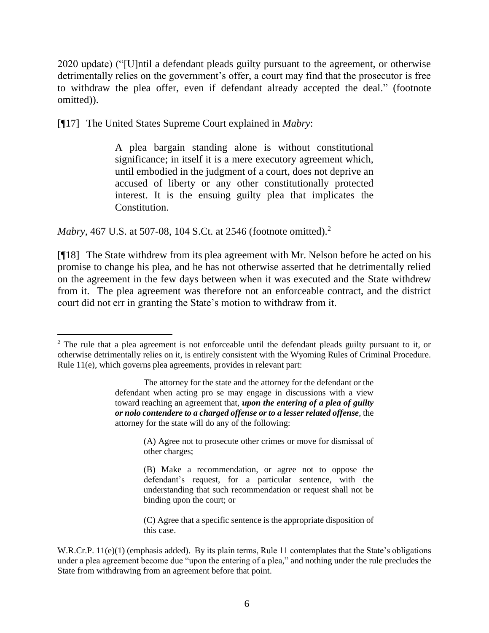2020 update) ("[U]ntil a defendant pleads guilty pursuant to the agreement, or otherwise detrimentally relies on the government's offer, a court may find that the prosecutor is free to withdraw the plea offer, even if defendant already accepted the deal." (footnote omitted)).

[¶17] The United States Supreme Court explained in *Mabry*:

A plea bargain standing alone is without constitutional significance; in itself it is a mere executory agreement which, until embodied in the judgment of a court, does not deprive an accused of liberty or any other constitutionally protected interest. It is the ensuing guilty plea that implicates the Constitution.

*Mabry*, 467 U.S. at 507-08, 104 S.Ct. at 2546 (footnote omitted).<sup>2</sup>

[¶18] The State withdrew from its plea agreement with Mr. Nelson before he acted on his promise to change his plea, and he has not otherwise asserted that he detrimentally relied on the agreement in the few days between when it was executed and the State withdrew from it. The plea agreement was therefore not an enforceable contract, and the district court did not err in granting the State's motion to withdraw from it.

(A) Agree not to prosecute other crimes or move for dismissal of other charges;

(C) Agree that a specific sentence is the appropriate disposition of this case.

 $2$  The rule that a plea agreement is not enforceable until the defendant pleads guilty pursuant to it, or otherwise detrimentally relies on it, is entirely consistent with the Wyoming Rules of Criminal Procedure. Rule 11(e), which governs plea agreements, provides in relevant part:

The attorney for the state and the attorney for the defendant or the defendant when acting pro se may engage in discussions with a view toward reaching an agreement that, *upon the entering of a plea of guilty or nolo contendere to a charged offense or to a lesser related offense*, the attorney for the state will do any of the following:

<sup>(</sup>B) Make a recommendation, or agree not to oppose the defendant's request, for a particular sentence, with the understanding that such recommendation or request shall not be binding upon the court; or

W.R.Cr.P. 11(e)(1) (emphasis added). By its plain terms, Rule 11 contemplates that the State's obligations under a plea agreement become due "upon the entering of a plea," and nothing under the rule precludes the State from withdrawing from an agreement before that point.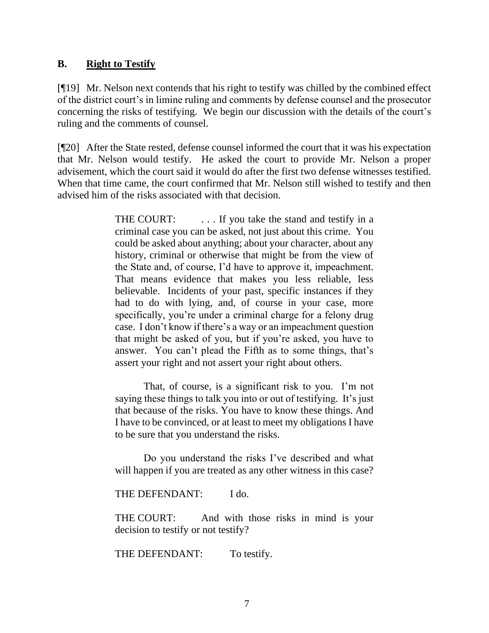### **B. Right to Testify**

[¶19] Mr. Nelson next contends that his right to testify was chilled by the combined effect of the district court's in limine ruling and comments by defense counsel and the prosecutor concerning the risks of testifying. We begin our discussion with the details of the court's ruling and the comments of counsel.

[¶20] After the State rested, defense counsel informed the court that it was his expectation that Mr. Nelson would testify. He asked the court to provide Mr. Nelson a proper advisement, which the court said it would do after the first two defense witnesses testified. When that time came, the court confirmed that Mr. Nelson still wished to testify and then advised him of the risks associated with that decision.

> THE COURT: ... If you take the stand and testify in a criminal case you can be asked, not just about this crime. You could be asked about anything; about your character, about any history, criminal or otherwise that might be from the view of the State and, of course, I'd have to approve it, impeachment. That means evidence that makes you less reliable, less believable. Incidents of your past, specific instances if they had to do with lying, and, of course in your case, more specifically, you're under a criminal charge for a felony drug case. I don't know if there's a way or an impeachment question that might be asked of you, but if you're asked, you have to answer. You can't plead the Fifth as to some things, that's assert your right and not assert your right about others.

> That, of course, is a significant risk to you. I'm not saying these things to talk you into or out of testifying. It's just that because of the risks. You have to know these things. And I have to be convinced, or at least to meet my obligations I have to be sure that you understand the risks.

> Do you understand the risks I've described and what will happen if you are treated as any other witness in this case?

THE DEFENDANT: I do.

THE COURT: And with those risks in mind is your decision to testify or not testify?

THE DEFENDANT: To testify.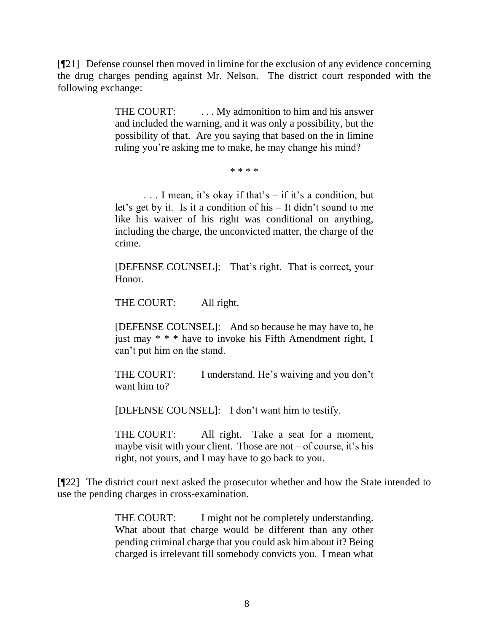[¶21] Defense counsel then moved in limine for the exclusion of any evidence concerning the drug charges pending against Mr. Nelson. The district court responded with the following exchange:

> THE COURT: ... My admonition to him and his answer and included the warning, and it was only a possibility, but the possibility of that. Are you saying that based on the in limine ruling you're asking me to make, he may change his mind?

#### \* \* \* \*

. . . I mean, it's okay if that's – if it's a condition, but let's get by it. Is it a condition of his – It didn't sound to me like his waiver of his right was conditional on anything, including the charge, the unconvicted matter, the charge of the crime.

[DEFENSE COUNSEL]: That's right. That is correct, your Honor.

THE COURT: All right.

[DEFENSE COUNSEL]: And so because he may have to, he just may \* \* \* have to invoke his Fifth Amendment right, I can't put him on the stand.

THE COURT: I understand. He's waiving and you don't want him to?

[DEFENSE COUNSEL]: I don't want him to testify.

THE COURT: All right. Take a seat for a moment, maybe visit with your client. Those are not  $-$  of course, it's his right, not yours, and I may have to go back to you.

[¶22] The district court next asked the prosecutor whether and how the State intended to use the pending charges in cross-examination.

> THE COURT: I might not be completely understanding. What about that charge would be different than any other pending criminal charge that you could ask him about it? Being charged is irrelevant till somebody convicts you. I mean what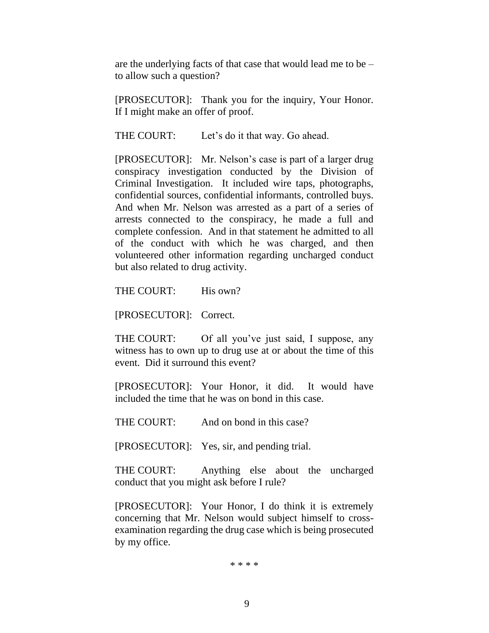are the underlying facts of that case that would lead me to be – to allow such a question?

[PROSECUTOR]: Thank you for the inquiry, Your Honor. If I might make an offer of proof.

THE COURT: Let's do it that way. Go ahead.

[PROSECUTOR]: Mr. Nelson's case is part of a larger drug conspiracy investigation conducted by the Division of Criminal Investigation. It included wire taps, photographs, confidential sources, confidential informants, controlled buys. And when Mr. Nelson was arrested as a part of a series of arrests connected to the conspiracy, he made a full and complete confession. And in that statement he admitted to all of the conduct with which he was charged, and then volunteered other information regarding uncharged conduct but also related to drug activity.

THE COURT: His own?

[PROSECUTOR]: Correct.

THE COURT: Of all you've just said, I suppose, any witness has to own up to drug use at or about the time of this event. Did it surround this event?

[PROSECUTOR]: Your Honor, it did. It would have included the time that he was on bond in this case.

THE COURT: And on bond in this case?

[PROSECUTOR]: Yes, sir, and pending trial.

THE COURT: Anything else about the uncharged conduct that you might ask before I rule?

[PROSECUTOR]: Your Honor, I do think it is extremely concerning that Mr. Nelson would subject himself to crossexamination regarding the drug case which is being prosecuted by my office.

\* \* \* \*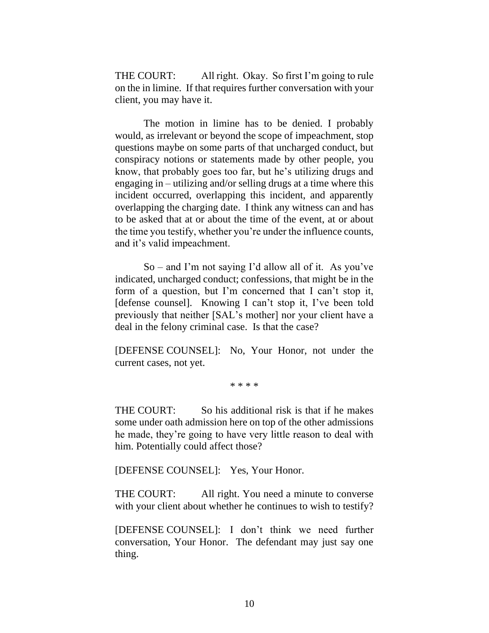THE COURT: All right. Okay. So first I'm going to rule on the in limine. If that requires further conversation with your client, you may have it.

The motion in limine has to be denied. I probably would, as irrelevant or beyond the scope of impeachment, stop questions maybe on some parts of that uncharged conduct, but conspiracy notions or statements made by other people, you know, that probably goes too far, but he's utilizing drugs and engaging in – utilizing and/or selling drugs at a time where this incident occurred, overlapping this incident, and apparently overlapping the charging date. I think any witness can and has to be asked that at or about the time of the event, at or about the time you testify, whether you're under the influence counts, and it's valid impeachment.

 $So$  – and I'm not saying I'd allow all of it. As you've indicated, uncharged conduct; confessions, that might be in the form of a question, but I'm concerned that I can't stop it, [defense counsel]. Knowing I can't stop it, I've been told previously that neither [SAL's mother] nor your client have a deal in the felony criminal case. Is that the case?

[DEFENSE COUNSEL]: No, Your Honor, not under the current cases, not yet.

\* \* \* \*

THE COURT: So his additional risk is that if he makes some under oath admission here on top of the other admissions he made, they're going to have very little reason to deal with him. Potentially could affect those?

[DEFENSE COUNSEL]: Yes, Your Honor.

THE COURT: All right. You need a minute to converse with your client about whether he continues to wish to testify?

[DEFENSE COUNSEL]: I don't think we need further conversation, Your Honor. The defendant may just say one thing.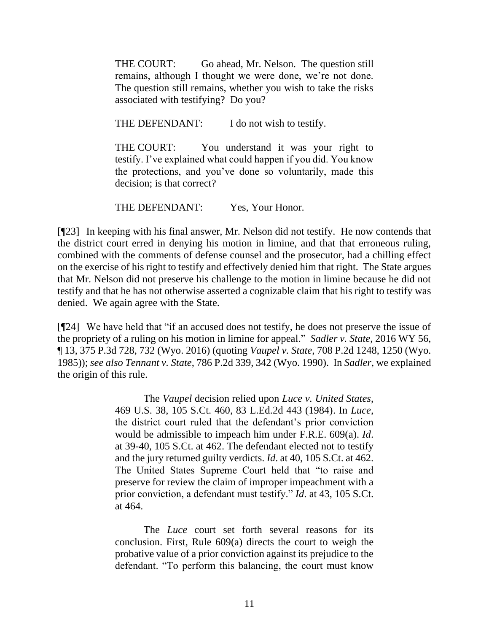THE COURT: Go ahead, Mr. Nelson. The question still remains, although I thought we were done, we're not done. The question still remains, whether you wish to take the risks associated with testifying? Do you?

THE DEFENDANT: I do not wish to testify.

THE COURT: You understand it was your right to testify. I've explained what could happen if you did. You know the protections, and you've done so voluntarily, made this decision; is that correct?

THE DEFENDANT: Yes, Your Honor.

[¶23] In keeping with his final answer, Mr. Nelson did not testify. He now contends that the district court erred in denying his motion in limine, and that that erroneous ruling, combined with the comments of defense counsel and the prosecutor, had a chilling effect on the exercise of his right to testify and effectively denied him that right. The State argues that Mr. Nelson did not preserve his challenge to the motion in limine because he did not testify and that he has not otherwise asserted a cognizable claim that his right to testify was denied. We again agree with the State.

[¶24] We have held that "if an accused does not testify, he does not preserve the issue of the propriety of a ruling on his motion in limine for appeal." *Sadler v. State*, 2016 WY 56, ¶ 13, 375 P.3d 728, 732 (Wyo. 2016) (quoting *Vaupel v. State*[, 708 P.2d 1248, 1250 \(Wyo.](http://www.westlaw.com/Link/Document/FullText?findType=Y&serNum=1985156817&pubNum=0000661&originatingDoc=Ideae43502c7f11e68cefc52a15cd8e9f&refType=RP&fi=co_pp_sp_661_1250&originationContext=document&vr=3.0&rs=cblt1.0&transitionType=DocumentItem&contextData=(sc.UserEnteredCitation)#co_pp_sp_661_1250)  [1985\)\)](http://www.westlaw.com/Link/Document/FullText?findType=Y&serNum=1985156817&pubNum=0000661&originatingDoc=Ideae43502c7f11e68cefc52a15cd8e9f&refType=RP&fi=co_pp_sp_661_1250&originationContext=document&vr=3.0&rs=cblt1.0&transitionType=DocumentItem&contextData=(sc.UserEnteredCitation)#co_pp_sp_661_1250); *see also Tennant v. State*[, 786 P.2d 339, 342 \(Wyo. 1990\).](http://www.westlaw.com/Link/Document/FullText?findType=Y&serNum=1990024032&pubNum=0000661&originatingDoc=Ideae43502c7f11e68cefc52a15cd8e9f&refType=RP&fi=co_pp_sp_661_342&originationContext=document&vr=3.0&rs=cblt1.0&transitionType=DocumentItem&contextData=(sc.UserEnteredCitation)#co_pp_sp_661_342) In *Sadler*, we explained the origin of this rule.

> The *[Vaupel](http://www.westlaw.com/Link/Document/FullText?findType=Y&serNum=1985156817&pubNum=0000661&originatingDoc=Ideae43502c7f11e68cefc52a15cd8e9f&refType=RP&originationContext=document&vr=3.0&rs=cblt1.0&transitionType=DocumentItem&contextData=(sc.UserEnteredCitation))* decision relied upon *[Luce v. United States](http://www.westlaw.com/Link/Document/FullText?findType=Y&serNum=1984158607&pubNum=0000708&originatingDoc=Ideae43502c7f11e68cefc52a15cd8e9f&refType=RP&originationContext=document&vr=3.0&rs=cblt1.0&transitionType=DocumentItem&contextData=(sc.UserEnteredCitation))*, [469 U.S. 38, 105 S.Ct. 460, 83 L.Ed.2d 443 \(1984\).](http://www.westlaw.com/Link/Document/FullText?findType=Y&serNum=1984158607&pubNum=0000708&originatingDoc=Ideae43502c7f11e68cefc52a15cd8e9f&refType=RP&originationContext=document&vr=3.0&rs=cblt1.0&transitionType=DocumentItem&contextData=(sc.UserEnteredCitation)) In *[Luce](http://www.westlaw.com/Link/Document/FullText?findType=Y&serNum=1984158607&pubNum=0000708&originatingDoc=Ideae43502c7f11e68cefc52a15cd8e9f&refType=RP&originationContext=document&vr=3.0&rs=cblt1.0&transitionType=DocumentItem&contextData=(sc.UserEnteredCitation))*, the district court ruled that the defendant's prior conviction would be admissible to impeach him under [F.R.E. 609\(a\).](http://www.westlaw.com/Link/Document/FullText?findType=L&pubNum=1000607&cite=USFRER609&originatingDoc=Ideae43502c7f11e68cefc52a15cd8e9f&refType=LQ&originationContext=document&vr=3.0&rs=cblt1.0&transitionType=DocumentItem&contextData=(sc.UserEnteredCitation)) *[Id](http://www.westlaw.com/Link/Document/FullText?findType=Y&serNum=1984158607&pubNum=0000708&originatingDoc=Ideae43502c7f11e68cefc52a15cd8e9f&refType=RP&fi=co_pp_sp_708_462&originationContext=document&vr=3.0&rs=cblt1.0&transitionType=DocumentItem&contextData=(sc.UserEnteredCitation)#co_pp_sp_708_462)*. [at 39-40, 105 S.Ct. at 462.](http://www.westlaw.com/Link/Document/FullText?findType=Y&serNum=1984158607&pubNum=0000708&originatingDoc=Ideae43502c7f11e68cefc52a15cd8e9f&refType=RP&fi=co_pp_sp_708_462&originationContext=document&vr=3.0&rs=cblt1.0&transitionType=DocumentItem&contextData=(sc.UserEnteredCitation)#co_pp_sp_708_462) The defendant elected not to testify and the jury returned guilty verdicts. *Id*[. at 40, 105 S.Ct. at 462.](http://www.westlaw.com/Link/Document/FullText?findType=Y&serNum=1984158607&pubNum=0000708&originatingDoc=Ideae43502c7f11e68cefc52a15cd8e9f&refType=RP&fi=co_pp_sp_708_462&originationContext=document&vr=3.0&rs=cblt1.0&transitionType=DocumentItem&contextData=(sc.UserEnteredCitation)#co_pp_sp_708_462) The United States Supreme Court held that "to raise and preserve for review the claim of improper impeachment with a prior conviction, a defendant must testify." *Id*[. at 43, 105 S.Ct.](http://www.westlaw.com/Link/Document/FullText?findType=Y&serNum=1984158607&pubNum=0000708&originatingDoc=Ideae43502c7f11e68cefc52a15cd8e9f&refType=RP&fi=co_pp_sp_708_464&originationContext=document&vr=3.0&rs=cblt1.0&transitionType=DocumentItem&contextData=(sc.UserEnteredCitation)#co_pp_sp_708_464) [at 464.](http://www.westlaw.com/Link/Document/FullText?findType=Y&serNum=1984158607&pubNum=0000708&originatingDoc=Ideae43502c7f11e68cefc52a15cd8e9f&refType=RP&fi=co_pp_sp_708_464&originationContext=document&vr=3.0&rs=cblt1.0&transitionType=DocumentItem&contextData=(sc.UserEnteredCitation)#co_pp_sp_708_464)

> The *[Luce](http://www.westlaw.com/Link/Document/FullText?findType=Y&serNum=1984158607&pubNum=0000708&originatingDoc=Ideae43502c7f11e68cefc52a15cd8e9f&refType=RP&originationContext=document&vr=3.0&rs=cblt1.0&transitionType=DocumentItem&contextData=(sc.UserEnteredCitation))* court set forth several reasons for its conclusion. First, [Rule 609\(a\)](http://www.westlaw.com/Link/Document/FullText?findType=L&pubNum=1000607&cite=USFRER609&originatingDoc=Ideae43502c7f11e68cefc52a15cd8e9f&refType=LQ&originationContext=document&vr=3.0&rs=cblt1.0&transitionType=DocumentItem&contextData=(sc.UserEnteredCitation)) directs the court to weigh the probative value of a prior conviction against its prejudice to the defendant. "To perform this balancing, the court must know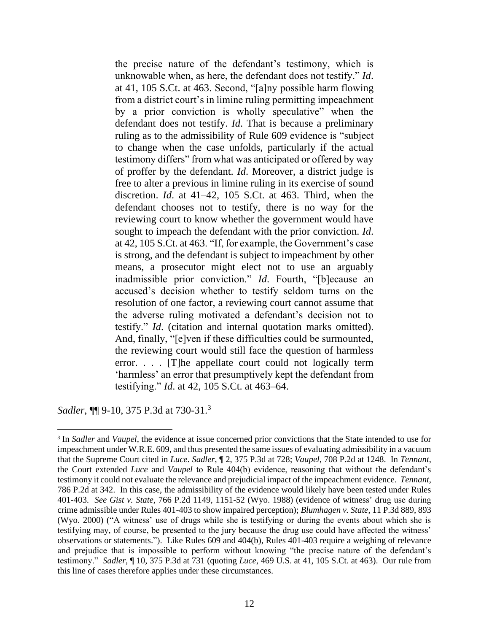the precise nature of the defendant's testimony, which is unknowable when, as here, the defendant does not testify." *[Id](http://www.westlaw.com/Link/Document/FullText?findType=Y&serNum=1984158607&pubNum=0000708&originatingDoc=Ideae43502c7f11e68cefc52a15cd8e9f&refType=RP&fi=co_pp_sp_708_463&originationContext=document&vr=3.0&rs=cblt1.0&transitionType=DocumentItem&contextData=(sc.UserEnteredCitation)#co_pp_sp_708_463)*. [at 41, 105 S.Ct. at 463.](http://www.westlaw.com/Link/Document/FullText?findType=Y&serNum=1984158607&pubNum=0000708&originatingDoc=Ideae43502c7f11e68cefc52a15cd8e9f&refType=RP&fi=co_pp_sp_708_463&originationContext=document&vr=3.0&rs=cblt1.0&transitionType=DocumentItem&contextData=(sc.UserEnteredCitation)#co_pp_sp_708_463) Second, "[a]ny possible harm flowing from a district court's in limine ruling permitting impeachment by a prior conviction is wholly speculative" when the defendant does not testify. *[Id](http://www.westlaw.com/Link/Document/FullText?findType=Y&serNum=1984158607&pubNum=0000780&originatingDoc=Ideae43502c7f11e68cefc52a15cd8e9f&refType=RP&originationContext=document&vr=3.0&rs=cblt1.0&transitionType=DocumentItem&contextData=(sc.UserEnteredCitation))*. That is because a preliminary ruling as to the admissibility of [Rule 609](http://www.westlaw.com/Link/Document/FullText?findType=L&pubNum=1000607&cite=USFRER609&originatingDoc=Ideae43502c7f11e68cefc52a15cd8e9f&refType=LQ&originationContext=document&vr=3.0&rs=cblt1.0&transitionType=DocumentItem&contextData=(sc.UserEnteredCitation)) evidence is "subject to change when the case unfolds, particularly if the actual testimony differs" from what was anticipated or offered by way of proffer by the defendant. *[Id](http://www.westlaw.com/Link/Document/FullText?findType=Y&serNum=1984158607&pubNum=0000780&originatingDoc=Ideae43502c7f11e68cefc52a15cd8e9f&refType=RP&originationContext=document&vr=3.0&rs=cblt1.0&transitionType=DocumentItem&contextData=(sc.UserEnteredCitation))*. Moreover, a district judge is free to alter a previous in limine ruling in its exercise of sound discretion. *Id*[. at 41–42, 105 S.Ct. at 463.](http://www.westlaw.com/Link/Document/FullText?findType=Y&serNum=1984158607&pubNum=0000708&originatingDoc=Ideae43502c7f11e68cefc52a15cd8e9f&refType=RP&fi=co_pp_sp_708_463&originationContext=document&vr=3.0&rs=cblt1.0&transitionType=DocumentItem&contextData=(sc.UserEnteredCitation)#co_pp_sp_708_463) Third, when the defendant chooses not to testify, there is no way for the reviewing court to know whether the government would have sought to impeach the defendant with the prior conviction. *[Id](http://www.westlaw.com/Link/Document/FullText?findType=Y&serNum=1984158607&pubNum=0000708&originatingDoc=Ideae43502c7f11e68cefc52a15cd8e9f&refType=RP&fi=co_pp_sp_708_463&originationContext=document&vr=3.0&rs=cblt1.0&transitionType=DocumentItem&contextData=(sc.UserEnteredCitation)#co_pp_sp_708_463)*. [at 42, 105 S.Ct. at 463.](http://www.westlaw.com/Link/Document/FullText?findType=Y&serNum=1984158607&pubNum=0000708&originatingDoc=Ideae43502c7f11e68cefc52a15cd8e9f&refType=RP&fi=co_pp_sp_708_463&originationContext=document&vr=3.0&rs=cblt1.0&transitionType=DocumentItem&contextData=(sc.UserEnteredCitation)#co_pp_sp_708_463) "If, for example, the Government's case is strong, and the defendant is subject to impeachment by other means, a prosecutor might elect not to use an arguably inadmissible prior conviction." *[Id](http://www.westlaw.com/Link/Document/FullText?findType=Y&serNum=1984158607&pubNum=0000780&originatingDoc=Ideae43502c7f11e68cefc52a15cd8e9f&refType=RP&originationContext=document&vr=3.0&rs=cblt1.0&transitionType=DocumentItem&contextData=(sc.UserEnteredCitation))*. Fourth, "[b]ecause an accused's decision whether to testify seldom turns on the resolution of one factor, a reviewing court cannot assume that the adverse ruling motivated a defendant's decision not to testify." *[Id](http://www.westlaw.com/Link/Document/FullText?findType=Y&serNum=1984158607&pubNum=0000780&originatingDoc=Ideae43502c7f11e68cefc52a15cd8e9f&refType=RP&originationContext=document&vr=3.0&rs=cblt1.0&transitionType=DocumentItem&contextData=(sc.UserEnteredCitation))*. (citation and internal quotation marks omitted). And, finally, "[e]ven if these difficulties could be surmounted, the reviewing court would still face the question of harmless error. . . . [T]he appellate court could not logically term 'harmless' an error that presumptively kept the defendant from testifying." *Id*[. at 42, 105 S.Ct. at 463–64.](http://www.westlaw.com/Link/Document/FullText?findType=Y&serNum=1984158607&pubNum=0000708&originatingDoc=Ideae43502c7f11e68cefc52a15cd8e9f&refType=RP&fi=co_pp_sp_708_463&originationContext=document&vr=3.0&rs=cblt1.0&transitionType=DocumentItem&contextData=(sc.UserEnteredCitation)#co_pp_sp_708_463)

*Sadler*, ¶¶ 9-10, 375 P.3d at 730-31.<sup>3</sup>

<sup>&</sup>lt;sup>3</sup> In *Sadler* and *Vaupel*, the evidence at issue concerned prior convictions that the State intended to use for impeachment under W.R.E. 609, and thus presented the same issues of evaluating admissibility in a vacuum that the Supreme Court cited in *Luce*. *Sadler*, ¶ 2, 375 P.3d at 728; *Vaupel*[, 708 P.2d at 1248.](http://www.westlaw.com/Link/Document/FullText?findType=Y&serNum=1985156817&pubNum=0000661&originatingDoc=Ideae43502c7f11e68cefc52a15cd8e9f&refType=RP&fi=co_pp_sp_661_1248&originationContext=document&vr=3.0&rs=cblt1.0&transitionType=DocumentItem&contextData=(sc.UserEnteredCitation)#co_pp_sp_661_1248) In *Tennant*, the Court extended *Luce* and *Vaupel* to Rule 404(b) evidence, reasoning that without the defendant's testimony it could not evaluate the relevance and prejudicial impact of the impeachment evidence. *Tennant*, 786 P.2d at 342. In this case, the admissibility of the evidence would likely have been tested under Rules 401-403. *See Gist v. State*, 766 P.2d 1149, 1151-52 (Wyo. 1988) (evidence of witness' drug use during crime admissible under Rules 401-403 to show impaired perception); *Blumhagen v. State*, 11 P.3d 889, 893 (Wyo. 2000) ("A witness' use of drugs while she is testifying or during the events about which she is testifying may, of course, be presented to the jury because the drug use could have affected the witness' observations or statements."). Like Rules 609 and 404(b), Rules 401-403 require a weighing of relevance and prejudice that is impossible to perform without knowing "the precise nature of the defendant's testimony." *Sadler*, ¶ 10, 375 P.3d at 731 (quoting *Luce*, 469 U.S. at 41, 105 S.Ct. at 463). Our rule from this line of cases therefore applies under these circumstances.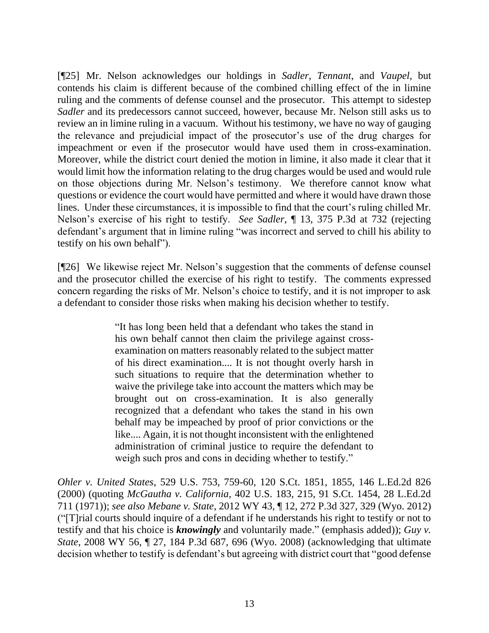[¶25] Mr. Nelson acknowledges our holdings in *Sadler*, *Tennant*, and *Vaupel,* but contends his claim is different because of the combined chilling effect of the in limine ruling and the comments of defense counsel and the prosecutor. This attempt to sidestep *Sadler* and its predecessors cannot succeed, however, because Mr. Nelson still asks us to review an in limine ruling in a vacuum. Without his testimony, we have no way of gauging the relevance and prejudicial impact of the prosecutor's use of the drug charges for impeachment or even if the prosecutor would have used them in cross-examination. Moreover, while the district court denied the motion in limine, it also made it clear that it would limit how the information relating to the drug charges would be used and would rule on those objections during Mr. Nelson's testimony. We therefore cannot know what questions or evidence the court would have permitted and where it would have drawn those lines. Under these circumstances, it is impossible to find that the court's ruling chilled Mr. Nelson's exercise of his right to testify. *See Sadler*, ¶ 13, 375 P.3d at 732 (rejecting defendant's argument that in limine ruling "was incorrect and served to chill his ability to testify on his own behalf").

[¶26] We likewise reject Mr. Nelson's suggestion that the comments of defense counsel and the prosecutor chilled the exercise of his right to testify. The comments expressed concern regarding the risks of Mr. Nelson's choice to testify, and it is not improper to ask a defendant to consider those risks when making his decision whether to testify.

> "It has long been held that a defendant who takes the stand in his own behalf cannot then claim the privilege against crossexamination on matters reasonably related to the subject matter of his direct examination.... It is not thought overly harsh in such situations to require that the determination whether to waive the privilege take into account the matters which may be brought out on cross-examination. It is also generally recognized that a defendant who takes the stand in his own behalf may be impeached by proof of prior convictions or the like.... Again, it is not thought inconsistent with the enlightened administration of criminal justice to require the defendant to weigh such pros and cons in deciding whether to testify."

*Ohler v. United States*, 529 U.S. 753, 759-60, 120 S.Ct. 1851, 1855, 146 L.Ed.2d 826 (2000) (quoting *McGautha v. California*, 402 U.S. 183, 215, 91 S.Ct. 1454, 28 L.Ed.2d 711 (1971)); *see also Mebane v. State*, 2012 WY 43, ¶ 12, 272 P.3d 327, 329 (Wyo. 2012) ("[T]rial courts should inquire of a defendant if he understands his right to testify or not to testify and that his choice is *knowingly* and voluntarily made." (emphasis added)); *Guy v. State*, 2008 WY 56, ¶ 27, 184 P.3d 687, 696 (Wyo. 2008) (acknowledging that ultimate decision whether to testify is defendant's but agreeing with district court that "good defense